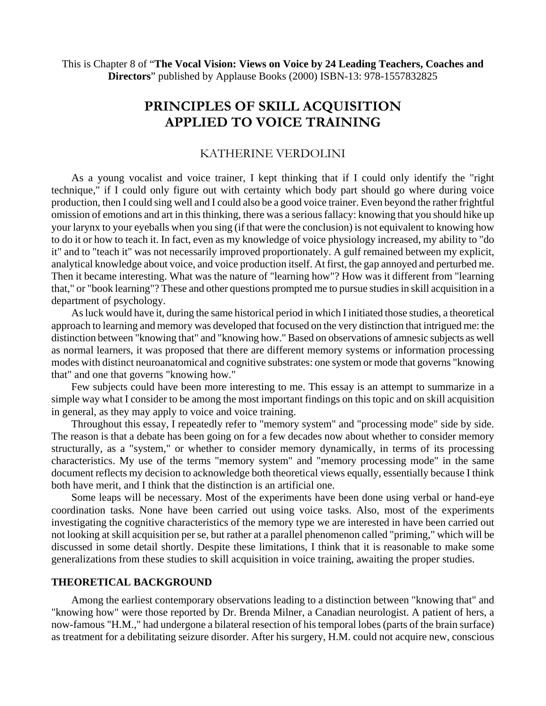This is Chapter 8 of "**The Vocal Vision: Views on Voice by 24 Leading Teachers, Coaches and Directors**" published by Applause Books (2000) ISBN-13: 978-1557832825

# **PRINCIPLES OF SKILL ACQUISITION APPLIED TO VOICE TRAINING**

# KATHERINE VERDOLINI

As a young vocalist and voice trainer, I kept thinking that if I could only identify the "right technique," if I could only figure out with certainty which body part should go where during voice production, then I could sing well and I could also be a good voice trainer. Even beyond the rather frightful omission of emotions and art in this thinking, there was a serious fallacy: knowing that you should hike up your larynx to your eyeballs when you sing (if that were the conclusion) is not equivalent to knowing how to do it or how to teach it. In fact, even as my knowledge of voice physiology increased, my ability to "do it" and to "teach it" was not necessarily improved proportionately. A gulf remained between my explicit, analytical knowledge about voice, and voice production itself. At first, the gap annoyed and perturbed me. Then it became interesting. What was the nature of "learning how"? How was it different from "learning that," or "book learning"? These and other questions prompted me to pursue studies in skill acquisition in a department of psychology.

As luck would have it, during the same historical period in which I initiated those studies, a theoretical approach to learning and memory was developed that focused on the very distinction that intrigued me: the distinction between "knowing that" and "knowing how." Based on observations of amnesic subjects as well as normal learners, it was proposed that there are different memory systems or information processing modes with distinct neuroanatomical and cognitive substrates: one system or mode that governs "knowing that" and one that governs "knowing how."

Few subjects could have been more interesting to me. This essay is an attempt to summarize in a simple way what I consider to be among the most important findings on this topic and on skill acquisition in general, as they may apply to voice and voice training.

Throughout this essay, I repeatedly refer to "memory system" and "processing mode" side by side. The reason is that a debate has been going on for a few decades now about whether to consider memory structurally, as a "system," or whether to consider memory dynamically, in terms of its processing characteristics. My use of the terms "memory system" and "memory processing mode" in the same document reflects my decision to acknowledge both theoretical views equally, essentially because I think both have merit, and I think that the distinction is an artificial one.

Some leaps will be necessary. Most of the experiments have been done using verbal or hand-eye coordination tasks. None have been carried out using voice tasks. Also, most of the experiments investigating the cognitive characteristics of the memory type we are interested in have been carried out not looking at skill acquisition per se, but rather at a parallel phenomenon called "priming," which will be discussed in some detail shortly. Despite these limitations, I think that it is reasonable to make some generalizations from these studies to skill acquisition in voice training, awaiting the proper studies.

#### **THEORETICAL BACKGROUND**

Among the earliest contemporary observations leading to a distinction between "knowing that" and "knowing how" were those reported by Dr. Brenda Milner, a Canadian neurologist. A patient of hers, a now-famous "H.M.," had undergone a bilateral resection of his temporal lobes (parts of the brain surface) as treatment for a debilitating seizure disorder. After his surgery, H.M. could not acquire new, conscious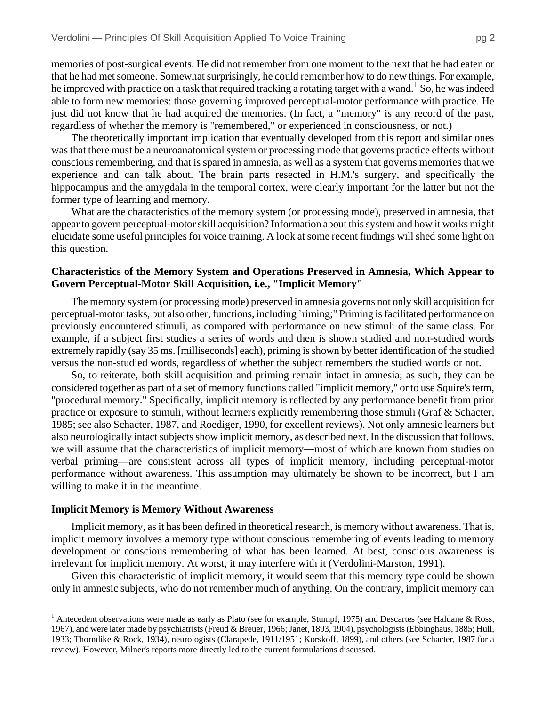memories of post-surgical events. He did not remember from one moment to the next that he had eaten or that he had met someone. Somewhat surprisingly, he could remember how to do new things. For example, he improved with practice on a task that required tracking a rotating target with a wand.<sup>[1](#page-1-0)</sup> So, he was indeed able to form new memories: those governing improved perceptual-motor performance with practice. He just did not know that he had acquired the memories. (In fact, a "memory" is any record of the past, regardless of whether the memory is "remembered," or experienced in consciousness, or not.)

The theoretically important implication that eventually developed from this report and similar ones was that there must be a neuroanatomical system or processing mode that governs practice effects without conscious remembering, and that is spared in amnesia, as well as a system that governs memories that we experience and can talk about. The brain parts resected in H.M.'s surgery, and specifically the hippocampus and the amygdala in the temporal cortex, were clearly important for the latter but not the former type of learning and memory.

What are the characteristics of the memory system (or processing mode), preserved in amnesia, that appear to govern perceptual-motor skill acquisition? Information about this system and how it works might elucidate some useful principles for voice training. A look at some recent findings will shed some light on this question.

### **Characteristics of the Memory System and Operations Preserved in Amnesia, Which Appear to Govern Perceptual-Motor Skill Acquisition, i.e., "Implicit Memory"**

The memory system (or processing mode) preserved in amnesia governs not only skill acquisition for perceptual-motor tasks, but also other, functions, including `riming;" Priming is facilitated performance on previously encountered stimuli, as compared with performance on new stimuli of the same class. For example, if a subject first studies a series of words and then is shown studied and non-studied words extremely rapidly (say 35 ms. [milliseconds] each), priming is shown by better identification of the studied versus the non-studied words, regardless of whether the subject remembers the studied words or not.

So, to reiterate, both skill acquisition and priming remain intact in amnesia; as such, they can be considered together as part of a set of memory functions called "implicit memory," or to use Squire's term, "procedural memory." Specifically, implicit memory is reflected by any performance benefit from prior practice or exposure to stimuli, without learners explicitly remembering those stimuli (Graf & Schacter, 1985; see also Schacter, 1987, and Roediger, 1990, for excellent reviews). Not only amnesic learners but also neurologically intact subjects show implicit memory, as described next. In the discussion that follows, we will assume that the characteristics of implicit memory—most of which are known from studies on verbal priming—are consistent across all types of implicit memory, including perceptual-motor performance without awareness. This assumption may ultimately be shown to be incorrect, but I am willing to make it in the meantime.

#### **Implicit Memory is Memory Without Awareness**

 $\overline{a}$ 

Implicit memory, as it has been defined in theoretical research, is memory without awareness. That is, implicit memory involves a memory type without conscious remembering of events leading to memory development or conscious remembering of what has been learned. At best, conscious awareness is irrelevant for implicit memory. At worst, it may interfere with it (Verdolini-Marston, 1991).

Given this characteristic of implicit memory, it would seem that this memory type could be shown only in amnesic subjects, who do not remember much of anything. On the contrary, implicit memory can

<span id="page-1-0"></span><sup>&</sup>lt;sup>1</sup> Antecedent observations were made as early as Plato (see for example, Stumpf, 1975) and Descartes (see Haldane & Ross, 1967), and were later made by psychiatrists (Freud & Breuer, 1966; Janet, 1893, 1904), psychologists (Ebbinghaus, 1885; Hull, 1933; Thorndike & Rock, 1934), neurologists (Clarapede, 1911/1951; Korskoff, 1899), and others (see Schacter, 1987 for a review). However, Milner's reports more directly led to the current formulations discussed.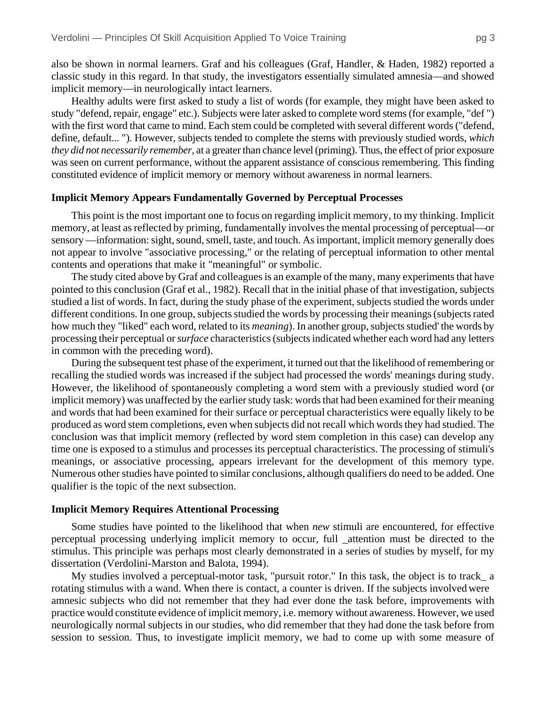also be shown in normal learners. Graf and his colleagues (Graf, Handler, & Haden, 1982) reported a classic study in this regard. In that study, the investigators essentially simulated amnesia—and showed implicit memory—in neurologically intact learners.

Healthy adults were first asked to study a list of words (for example, they might have been asked to study "defend, repair, engage" etc.). Subjects were later asked to complete word stems (for example, "def ") with the first word that came to mind. Each stem could be completed with several different words ("defend, define, default... "). However, subjects tended to complete the stems with previously studied words, *which they did not necessarily remember*, at a greater than chance level (priming). Thus, the effect of prior exposure was seen on current performance, without the apparent assistance of conscious remembering. This finding constituted evidence of implicit memory or memory without awareness in normal learners.

#### **Implicit Memory Appears Fundamentally Governed by Perceptual Processes**

This point is the most important one to focus on regarding implicit memory, to my thinking. Implicit memory, at least as reflected by priming, fundamentally involves the mental processing of perceptual—or sensory —information: sight, sound, smell, taste, and touch. As important, implicit memory generally does not appear to involve "associative processing," or the relating of perceptual information to other mental contents and operations that make it "meaningful" or symbolic.

The study cited above by Graf and colleagues is an example of the many, many experiments that have pointed to this conclusion (Graf et al., 1982). Recall that in the initial phase of that investigation, subjects studied a list of words. In fact, during the study phase of the experiment, subjects studied the words under different conditions. In one group, subjects studied the words by processing their meanings (subjects rated how much they "liked" each word, related to its *meaning*). In another group, subjects studied' the words by processing their perceptual or *surface* characteristics (subjects indicated whether each word had any letters in common with the preceding word).

During the subsequent test phase of the experiment, it turned out that the likelihood of remembering or recalling the studied words was increased if the subject had processed the words' meanings during study. However, the likelihood of spontaneously completing a word stem with a previously studied word (or implicit memory) was unaffected by the earlier study task: words that had been examined for their meaning and words that had been examined for their surface or perceptual characteristics were equally likely to be produced as word stem completions, even when subjects did not recall which words they had studied. The conclusion was that implicit memory (reflected by word stem completion in this case) can develop any time one is exposed to a stimulus and processes its perceptual characteristics. The processing of stimuli's meanings, or associative processing, appears irrelevant for the development of this memory type. Numerous other studies have pointed to similar conclusions, although qualifiers do need to be added. One qualifier is the topic of the next subsection.

#### **Implicit Memory Requires Attentional Processing**

Some studies have pointed to the likelihood that when *new* stimuli are encountered, for effective perceptual processing underlying implicit memory to occur, full \_attention must be directed to the stimulus. This principle was perhaps most clearly demonstrated in a series of studies by myself, for my dissertation (Verdolini-Marston and Balota, 1994).

My studies involved a perceptual-motor task, "pursuit rotor." In this task, the object is to track\_ a rotating stimulus with a wand. When there is contact, a counter is driven. If the subjects involved were amnesic subjects who did not remember that they had ever done the task before, improvements with practice would constitute evidence of implicit memory, i.e. memory without awareness. However, we used neurologically normal subjects in our studies, who did remember that they had done the task before from session to session. Thus, to investigate implicit memory, we had to come up with some measure of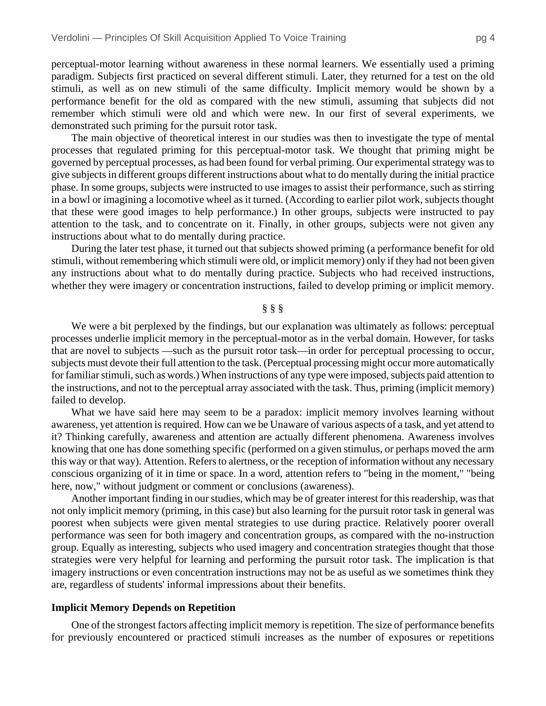perceptual-motor learning without awareness in these normal learners. We essentially used a priming paradigm. Subjects first practiced on several different stimuli. Later, they returned for a test on the old stimuli, as well as on new stimuli of the same difficulty. Implicit memory would be shown by a performance benefit for the old as compared with the new stimuli, assuming that subjects did not remember which stimuli were old and which were new. In our first of several experiments, we demonstrated such priming for the pursuit rotor task.

The main objective of theoretical interest in our studies was then to investigate the type of mental processes that regulated priming for this perceptual-motor task. We thought that priming might be governed by perceptual processes, as had been found for verbal priming. Our experimental strategy was to give subjects in different groups different instructions about what to do mentally during the initial practice phase. In some groups, subjects were instructed to use images to assist their performance, such as stirring in a bowl or imagining a locomotive wheel as it turned. (According to earlier pilot work, subjects thought that these were good images to help performance.) In other groups, subjects were instructed to pay attention to the task, and to concentrate on it. Finally, in other groups, subjects were not given any instructions about what to do mentally during practice.

During the later test phase, it turned out that subjects showed priming (a performance benefit for old stimuli, without remembering which stimuli were old, or implicit memory) only if they had not been given any instructions about what to do mentally during practice. Subjects who had received instructions, whether they were imagery or concentration instructions, failed to develop priming or implicit memory.

### § § §

We were a bit perplexed by the findings, but our explanation was ultimately as follows: perceptual processes underlie implicit memory in the perceptual-motor as in the verbal domain. However, for tasks that are novel to subjects —such as the pursuit rotor task—in order for perceptual processing to occur, subjects must devote their full attention to the task. (Perceptual processing might occur more automatically for familiar stimuli, such as words.) When instructions of any type were imposed, subjects paid attention to the instructions, and not to the perceptual array associated with the task. Thus, priming (implicit memory) failed to develop.

What we have said here may seem to be a paradox: implicit memory involves learning without awareness, yet attention is required. How can we be Unaware of various aspects of a task, and yet attend to it? Thinking carefully, awareness and attention are actually different phenomena. Awareness involves knowing that one has done something specific (performed on a given stimulus, or perhaps moved the arm this way or that way). Attention. Refers to alertness, or the reception of information without any necessary conscious organizing of it in time or space. In a word, attention refers to "being in the moment," "being here, now," without judgment or comment or conclusions (awareness).

Another important finding in our studies, which may be of greater interest for this readership, was that not only implicit memory (priming, in this case) but also learning for the pursuit rotor task in general was poorest when subjects were given mental strategies to use during practice. Relatively poorer overall performance was seen for both imagery and concentration groups, as compared with the no-instruction group. Equally as interesting, subjects who used imagery and concentration strategies thought that those strategies were very helpful for learning and performing the pursuit rotor task. The implication is that imagery instructions or even concentration instructions may not be as useful as we sometimes think they are, regardless of students' informal impressions about their benefits.

#### **Implicit Memory Depends on Repetition**

One of the strongest factors affecting implicit memory is repetition. The size of performance benefits for previously encountered or practiced stimuli increases as the number of exposures or repetitions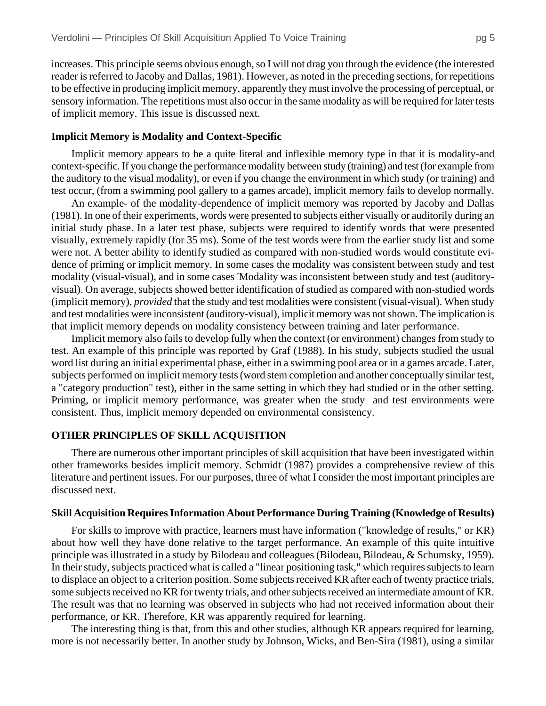increases. This principle seems obvious enough, so I will not drag you through the evidence (the interested reader is referred to Jacoby and Dallas, 1981). However, as noted in the preceding sections, for repetitions to be effective in producing implicit memory, apparently they must involve the processing of perceptual, or sensory information. The repetitions must also occur in the same modality as will be required for later tests of implicit memory. This issue is discussed next.

### **Implicit Memory is Modality and Context-Specific**

Implicit memory appears to be a quite literal and inflexible memory type in that it is modality-and context-specific. If you change the performance modality between study (training) and test (for example from the auditory to the visual modality), or even if you change the environment in which study (or training) and test occur, (from a swimming pool gallery to a games arcade), implicit memory fails to develop normally.

An example- of the modality-dependence of implicit memory was reported by Jacoby and Dallas (1981). In one of their experiments, words were presented to subjects either visually or auditorily during an initial study phase. In a later test phase, subjects were required to identify words that were presented visually, extremely rapidly (for 35 ms). Some of the test words were from the earlier study list and some were not. A better ability to identify studied as compared with non-studied words would constitute evidence of priming or implicit memory. In some cases the modality was consistent between study and test modality (visual-visual), and in some cases 'Modality was inconsistent between study and test (auditoryvisual). On average, subjects showed better identification of studied as compared with non-studied words (implicit memory), *provided* that the study and test modalities were consistent (visual-visual). When study and test modalities were inconsistent (auditory-visual), implicit memory was not shown. The implication is that implicit memory depends on modality consistency between training and later performance.

Implicit memory also fails to develop fully when the context (or environment) changes from study to test. An example of this principle was reported by Graf (1988). In his study, subjects studied the usual word list during an initial experimental phase, either in a swimming pool area or in a games arcade. Later, subjects performed on implicit memory tests (word stem completion and another conceptually similar test, a "category production" test), either in the same setting in which they had studied or in the other setting. Priming, or implicit memory performance, was greater when the study and test environments were consistent. Thus, implicit memory depended on environmental consistency.

# **OTHER PRINCIPLES OF SKILL ACQUISITION**

There are numerous other important principles of skill acquisition that have been investigated within other frameworks besides implicit memory. Schmidt (1987) provides a comprehensive review of this literature and pertinent issues. For our purposes, three of what I consider the most important principles are discussed next.

# **Skill Acquisition Requires Information About Performance During Training (Knowledge of Results)**

For skills to improve with practice, learners must have information ("knowledge of results," or KR) about how well they have done relative to the target performance. An example of this quite intuitive principle was illustrated in a study by Bilodeau and colleagues (Bilodeau, Bilodeau, & Schumsky, 1959). In their study, subjects practiced what is called a "linear positioning task," which requires subjects to learn to displace an object to a criterion position. Some subjects received KR after each of twenty practice trials, some subjects received no KR for twenty trials, and other subjects received an intermediate amount of KR. The result was that no learning was observed in subjects who had not received information about their performance, or KR. Therefore, KR was apparently required for learning.

The interesting thing is that, from this and other studies, although KR appears required for learning, more is not necessarily better. In another study by Johnson, Wicks, and Ben-Sira (1981), using a similar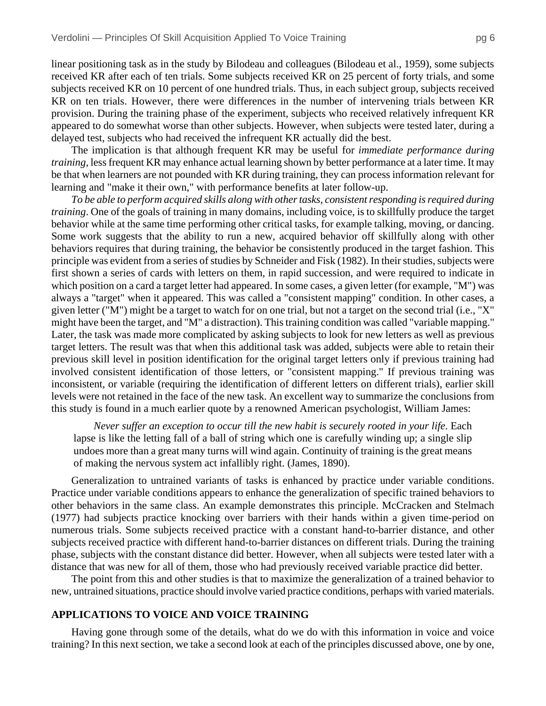linear positioning task as in the study by Bilodeau and colleagues (Bilodeau et al., 1959), some subjects received KR after each of ten trials. Some subjects received KR on 25 percent of forty trials, and some subjects received KR on 10 percent of one hundred trials. Thus, in each subject group, subjects received KR on ten trials. However, there were differences in the number of intervening trials between KR provision. During the training phase of the experiment, subjects who received relatively infrequent KR appeared to do somewhat worse than other subjects. However, when subjects were tested later, during a delayed test, subjects who had received the infrequent KR actually did the best.

The implication is that although frequent KR may be useful for *immediate performance during training*, less frequent KR may enhance actual learning shown by better performance at a later time. It may be that when learners are not pounded with KR during training, they can process information relevant for learning and "make it their own," with performance benefits at later follow-up.

*To be able to perform acquired skills along with other tasks, consistent responding is required during training*. One of the goals of training in many domains, including voice, is to skillfully produce the target behavior while at the same time performing other critical tasks, for example talking, moving, or dancing. Some work suggests that the ability to run a new, acquired behavior off skillfully along with other behaviors requires that during training, the behavior be consistently produced in the target fashion. This principle was evident from a series of studies by Schneider and Fisk (1982). In their studies, subjects were first shown a series of cards with letters on them, in rapid succession, and were required to indicate in which position on a card a target letter had appeared. In some cases, a given letter (for example, "M") was always a "target" when it appeared. This was called a "consistent mapping" condition. In other cases, a given letter ("M") might be a target to watch for on one trial, but not a target on the second trial (i.e., "X" might have been the target, and "M" a distraction). This training condition was called "variable mapping." Later, the task was made more complicated by asking subjects to look for new letters as well as previous target letters. The result was that when this additional task was added, subjects were able to retain their previous skill level in position identification for the original target letters only if previous training had involved consistent identification of those letters, or "consistent mapping." If previous training was inconsistent, or variable (requiring the identification of different letters on different trials), earlier skill levels were not retained in the face of the new task. An excellent way to summarize the conclusions from this study is found in a much earlier quote by a renowned American psychologist, William James:

*Never suffer an exception to occur till the new habit is securely rooted in your life.* Each lapse is like the letting fall of a ball of string which one is carefully winding up; a single slip undoes more than a great many turns will wind again. Continuity of training is the great means of making the nervous system act infallibly right. (James, 1890).

Generalization to untrained variants of tasks is enhanced by practice under variable conditions. Practice under variable conditions appears to enhance the generalization of specific trained behaviors to other behaviors in the same class. An example demonstrates this principle. McCracken and Stelmach (1977) had subjects practice knocking over barriers with their hands within a given time-period on numerous trials. Some subjects received practice with a constant hand-to-barrier distance, and other subjects received practice with different hand-to-barrier distances on different trials. During the training phase, subjects with the constant distance did better. However, when all subjects were tested later with a distance that was new for all of them, those who had previously received variable practice did better.

The point from this and other studies is that to maximize the generalization of a trained behavior to new, untrained situations, practice should involve varied practice conditions, perhaps with varied materials.

#### **APPLICATIONS TO VOICE AND VOICE TRAINING**

Having gone through some of the details, what do we do with this information in voice and voice training? In this next section, we take a second look at each of the principles discussed above, one by one,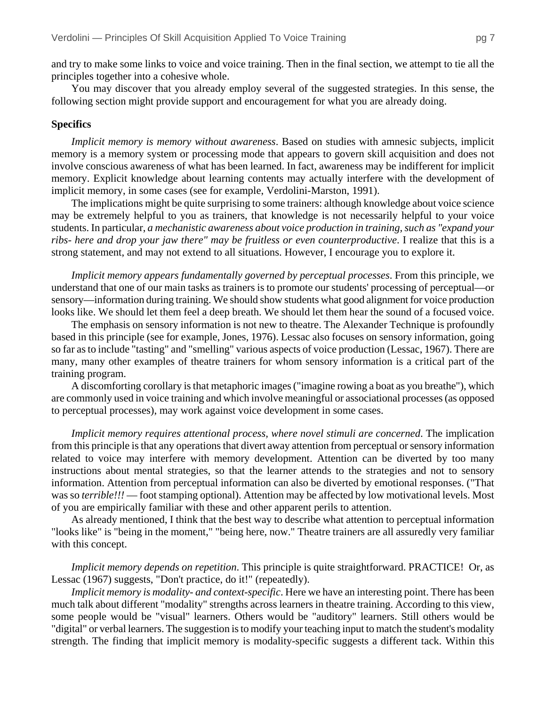and try to make some links to voice and voice training. Then in the final section, we attempt to tie all the principles together into a cohesive whole.

You may discover that you already employ several of the suggested strategies. In this sense, the following section might provide support and encouragement for what you are already doing.

### **Specifics**

*Implicit memory is memory without awareness*. Based on studies with amnesic subjects, implicit memory is a memory system or processing mode that appears to govern skill acquisition and does not involve conscious awareness of what has been learned. In fact, awareness may be indifferent for implicit memory. Explicit knowledge about learning contents may actually interfere with the development of implicit memory, in some cases (see for example, Verdolini-Marston, 1991).

The implications might be quite surprising to some trainers: although knowledge about voice science may be extremely helpful to you as trainers, that knowledge is not necessarily helpful to your voice students. In particular, *a mechanistic awareness about voice production in training, such as "expand your ribs- here and drop your jaw there" may be fruitless or even counterproductive*. I realize that this is a strong statement, and may not extend to all situations. However, I encourage you to explore it.

*Implicit memory appears fundamentally governed by perceptual processes*. From this principle, we understand that one of our main tasks as trainers is to promote our students' processing of perceptual—or sensory—information during training. We should show students what good alignment for voice production looks like. We should let them feel a deep breath. We should let them hear the sound of a focused voice.

The emphasis on sensory information is not new to theatre. The Alexander Technique is profoundly based in this principle (see for example, Jones, 1976). Lessac also focuses on sensory information, going so far as to include "tasting" and "smelling" various aspects of voice production (Lessac, 1967). There are many, many other examples of theatre trainers for whom sensory information is a critical part of the training program.

A discomforting corollary is that metaphoric images ("imagine rowing a boat as you breathe"), which are commonly used in voice training and which involve meaningful or associational processes (as opposed to perceptual processes), may work against voice development in some cases.

*Implicit memory requires attentional process, where novel stimuli are concerned*. The implication from this principle is that any operations that divert away attention from perceptual or sensory information related to voice may interfere with memory development. Attention can be diverted by too many instructions about mental strategies, so that the learner attends to the strategies and not to sensory information. Attention from perceptual information can also be diverted by emotional responses. ("That was so *terrible!!!* — foot stamping optional). Attention may be affected by low motivational levels. Most of you are empirically familiar with these and other apparent perils to attention.

As already mentioned, I think that the best way to describe what attention to perceptual information "looks like" is "being in the moment," "being here, now." Theatre trainers are all assuredly very familiar with this concept.

*Implicit memory depends on repetition*. This principle is quite straightforward. PRACTICE! Or, as Lessac (1967) suggests, "Don't practice, do it!" (repeatedly).

*Implicit memory is modality- and context-specific*. Here we have an interesting point. There has been much talk about different "modality" strengths across learners in theatre training. According to this view, some people would be "visual" learners. Others would be "auditory" learners. Still others would be "digital" or verbal learners. The suggestion is to modify your teaching input to match the student's modality strength. The finding that implicit memory is modality-specific suggests a different tack. Within this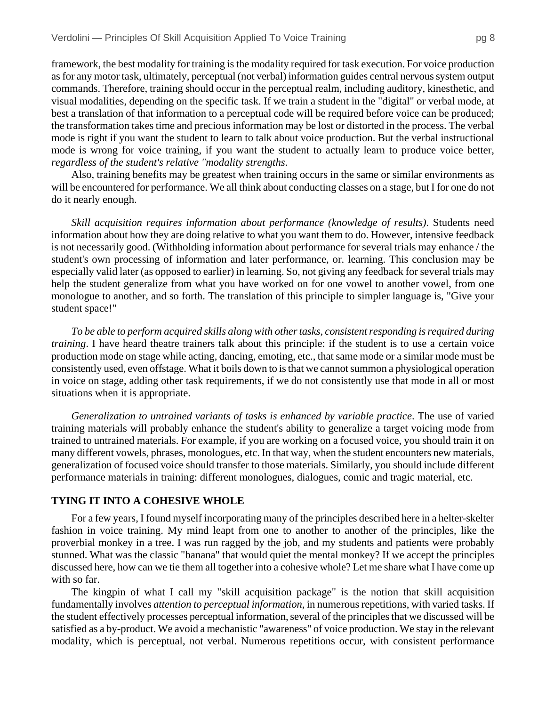framework, the best modality for training is the modality required for task execution. For voice production as for any motor task, ultimately, perceptual (not verbal) information guides central nervous system output commands. Therefore, training should occur in the perceptual realm, including auditory, kinesthetic, and visual modalities, depending on the specific task. If we train a student in the "digital" or verbal mode, at best a translation of that information to a perceptual code will be required before voice can be produced; the transformation takes time and precious information may be lost or distorted in the process. The verbal mode is right if you want the student to learn to talk about voice production. But the verbal instructional mode is wrong for voice training, if you want the student to actually learn to produce voice better, *regardless of the student's relative "modality strengths*.

Also, training benefits may be greatest when training occurs in the same or similar environments as will be encountered for performance. We all think about conducting classes on a stage, but I for one do not do it nearly enough.

*Skill acquisition requires information about performance (knowledge of results)*. Students need information about how they are doing relative to what you want them to do. However, intensive feedback is not necessarily good. (Withholding information about performance for several trials may enhance / the student's own processing of information and later performance, or. learning. This conclusion may be especially valid later (as opposed to earlier) in learning. So, not giving any feedback for several trials may help the student generalize from what you have worked on for one vowel to another vowel, from one monologue to another, and so forth. The translation of this principle to simpler language is, "Give your student space!"

*To be able to perform acquired skills along with other tasks, consistent responding is required during training*. I have heard theatre trainers talk about this principle: if the student is to use a certain voice production mode on stage while acting, dancing, emoting, etc., that same mode or a similar mode must be consistently used, even offstage. What it boils down to is that we cannot summon a physiological operation in voice on stage, adding other task requirements, if we do not consistently use that mode in all or most situations when it is appropriate.

*Generalization to untrained variants of tasks is enhanced by variable practice*. The use of varied training materials will probably enhance the student's ability to generalize a target voicing mode from trained to untrained materials. For example, if you are working on a focused voice, you should train it on many different vowels, phrases, monologues, etc. In that way, when the student encounters new materials, generalization of focused voice should transfer to those materials. Similarly, you should include different performance materials in training: different monologues, dialogues, comic and tragic material, etc.

# **TYING IT INTO A COHESIVE WHOLE**

For a few years, I found myself incorporating many of the principles described here in a helter-skelter fashion in voice training. My mind leapt from one to another to another of the principles, like the proverbial monkey in a tree. I was run ragged by the job, and my students and patients were probably stunned. What was the classic "banana" that would quiet the mental monkey? If we accept the principles discussed here, how can we tie them all together into a cohesive whole? Let me share what I have come up with so far.

The kingpin of what I call my "skill acquisition package" is the notion that skill acquisition fundamentally involves *attention to perceptual information*, in numerous repetitions, with varied tasks. If the student effectively processes perceptual information, several of the principles that we discussed will be satisfied as a by-product. We avoid a mechanistic "awareness" of voice production. We stay in the relevant modality, which is perceptual, not verbal. Numerous repetitions occur, with consistent performance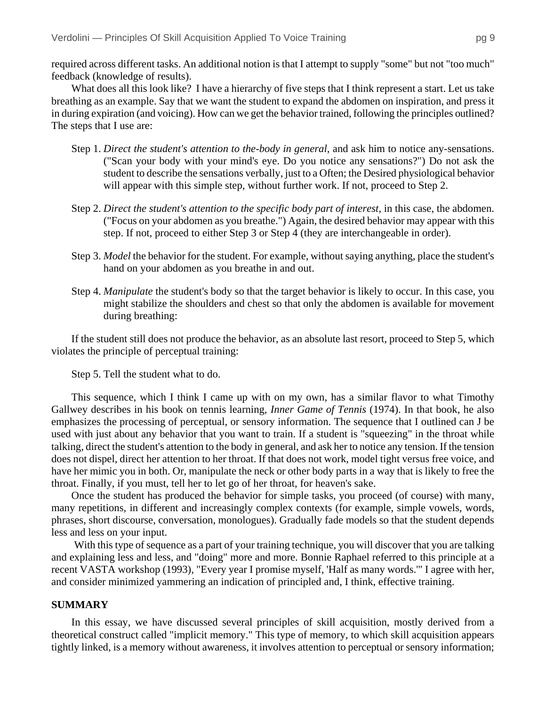required across different tasks. An additional notion is that I attempt to supply "some" but not "too much" feedback (knowledge of results).

What does all this look like? I have a hierarchy of five steps that I think represent a start. Let us take breathing as an example. Say that we want the student to expand the abdomen on inspiration, and press it in during expiration (and voicing). How can we get the behavior trained, following the principles outlined? The steps that I use are:

- Step 1. *Direct the student's attention to the-body in general*, and ask him to notice any-sensations. ("Scan your body with your mind's eye. Do you notice any sensations?") Do not ask the student to describe the sensations verbally, just to a Often; the Desired physiological behavior will appear with this simple step, without further work. If not, proceed to Step 2.
- Step 2. *Direct the student's attention to the specific body part of interest*, in this case, the abdomen. ("Focus on your abdomen as you breathe.") Again, the desired behavior may appear with this step. If not, proceed to either Step 3 or Step 4 (they are interchangeable in order).
- Step 3. *Model* the behavior for the student. For example, without saying anything, place the student's hand on your abdomen as you breathe in and out.
- Step 4. *Manipulate* the student's body so that the target behavior is likely to occur. In this case, you might stabilize the shoulders and chest so that only the abdomen is available for movement during breathing:

If the student still does not produce the behavior, as an absolute last resort, proceed to Step 5, which violates the principle of perceptual training:

Step 5. Tell the student what to do.

This sequence, which I think I came up with on my own, has a similar flavor to what Timothy Gallwey describes in his book on tennis learning, *Inner Game of Tennis* (1974). In that book, he also emphasizes the processing of perceptual, or sensory information. The sequence that I outlined can J be used with just about any behavior that you want to train. If a student is "squeezing" in the throat while talking, direct the student's attention to the body in general, and ask her to notice any tension. If the tension does not dispel, direct her attention to her throat. If that does not work, model tight versus free voice, and have her mimic you in both. Or, manipulate the neck or other body parts in a way that is likely to free the throat. Finally, if you must, tell her to let go of her throat, for heaven's sake.

Once the student has produced the behavior for simple tasks, you proceed (of course) with many, many repetitions, in different and increasingly complex contexts (for example, simple vowels, words, phrases, short discourse, conversation, monologues). Gradually fade models so that the student depends less and less on your input.

With this type of sequence as a part of your training technique, you will discover that you are talking and explaining less and less, and "doing" more and more. Bonnie Raphael referred to this principle at a recent VASTA workshop (1993), "Every year I promise myself, 'Half as many words.'" I agree with her, and consider minimized yammering an indication of principled and, I think, effective training.

#### **SUMMARY**

In this essay, we have discussed several principles of skill acquisition, mostly derived from a theoretical construct called "implicit memory." This type of memory, to which skill acquisition appears tightly linked, is a memory without awareness, it involves attention to perceptual or sensory information;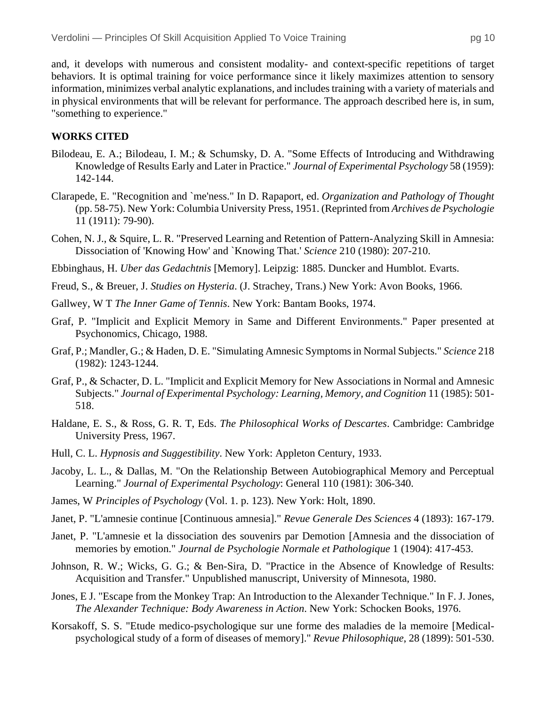and, it develops with numerous and consistent modality- and context-specific repetitions of target behaviors. It is optimal training for voice performance since it likely maximizes attention to sensory information, minimizes verbal analytic explanations, and includes training with a variety of materials and in physical environments that will be relevant for performance. The approach described here is, in sum, "something to experience."

### **WORKS CITED**

- Bilodeau, E. A.; Bilodeau, I. M.; & Schumsky, D. A. "Some Effects of Introducing and Withdrawing Knowledge of Results Early and Later in Practice." *Journal of Experimental Psychology* 58 (1959): 142-144.
- Clarapede, E. "Recognition and `me'ness." In D. Rapaport, ed. *Organization and Pathology of Thought* (pp. 58-75). New York: Columbia University Press, 1951. (Reprinted from *Archives de Psychologie* 11 (1911): 79-90).
- Cohen, N. J., & Squire, L. R. "Preserved Learning and Retention of Pattern-Analyzing Skill in Amnesia: Dissociation of 'Knowing How' and `Knowing That.' *Science* 210 (1980): 207-210.
- Ebbinghaus, H. *Uber das Gedachtnis* [Memory]. Leipzig: 1885. Duncker and Humblot. Evarts.
- Freud, S., & Breuer, J. *Studies on Hysteria*. (J. Strachey, Trans.) New York: Avon Books, 1966.
- Gallwey, W T *The Inner Game of Tennis*. New York: Bantam Books, 1974.
- Graf, P. "Implicit and Explicit Memory in Same and Different Environments." Paper presented at Psychonomics, Chicago, 1988.
- Graf, P.; Mandler, G.; & Haden, D. E. "Simulating Amnesic Symptoms in Normal Subjects." *Science* 218 (1982): 1243-1244.
- Graf, P., & Schacter, D. L. "Implicit and Explicit Memory for New Associations in Normal and Amnesic Subjects." *Journal of Experimental Psychology: Learning, Memory, and Cognition* 11 (1985): 501- 518.
- Haldane, E. S., & Ross, G. R. T, Eds. *The Philosophical Works of Descartes*. Cambridge: Cambridge University Press, 1967.
- Hull, C. L. *Hypnosis and Suggestibility*. New York: Appleton Century, 1933.
- Jacoby, L. L., & Dallas, M. "On the Relationship Between Autobiographical Memory and Perceptual Learning." *Journal of Experimental Psychology*: General 110 (1981): 306-340.
- James, W *Principles of Psychology* (Vol. 1. p. 123). New York: Holt, 1890.
- Janet, P. "L'amnesie continue [Continuous amnesia]." *Revue Generale Des Sciences* 4 (1893): 167-179.
- Janet, P. "L'amnesie et la dissociation des souvenirs par Demotion [Amnesia and the dissociation of memories by emotion." *Journal de Psychologie Normale et Pathologique* 1 (1904): 417-453.
- Johnson, R. W.; Wicks, G. G.; & Ben-Sira, D. "Practice in the Absence of Knowledge of Results: Acquisition and Transfer." Unpublished manuscript, University of Minnesota, 1980.
- Jones, E J. "Escape from the Monkey Trap: An Introduction to the Alexander Technique." In F. J. Jones, *The Alexander Technique: Body Awareness in Action*. New York: Schocken Books, 1976.
- Korsakoff, S. S. "Etude medico-psychologique sur une forme des maladies de la memoire [Medicalpsychological study of a form of diseases of memory]." *Revue Philosophique*, 28 (1899): 501-530.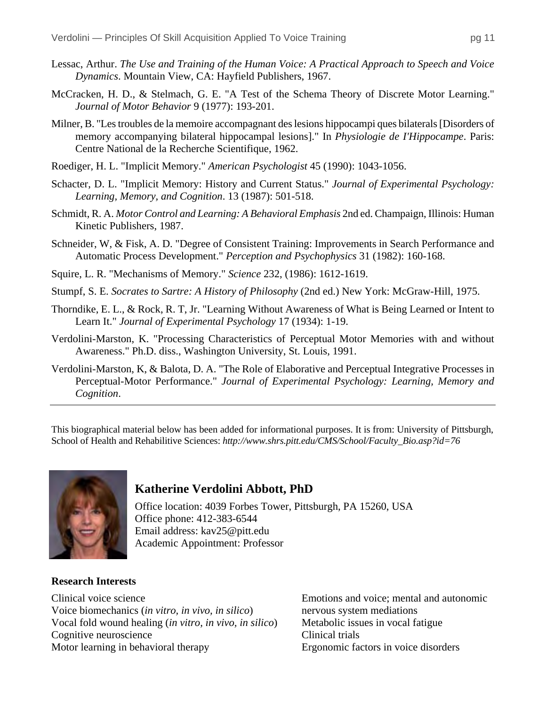- Lessac, Arthur. *The Use and Training of the Human Voice: A Practical Approach to Speech and Voice Dynamics*. Mountain View, CA: Hayfield Publishers, 1967.
- McCracken, H. D., & Stelmach, G. E. "A Test of the Schema Theory of Discrete Motor Learning." *Journal of Motor Behavior* 9 (1977): 193-201.
- Milner, B. "Les troubles de la memoire accompagnant des lesions hippocampi ques bilaterals [Disorders of memory accompanying bilateral hippocampal lesions]." In *Physiologie de I'Hippocampe*. Paris: Centre National de la Recherche Scientifique, 1962.
- Roediger, H. L. "Implicit Memory." *American Psychologist* 45 (1990): 1043-1056.
- Schacter, D. L. "Implicit Memory: History and Current Status." *Journal of Experimental Psychology: Learning, Memory, and Cognition*. 13 (1987): 501-518.
- Schmidt, R. A. *Motor Control and Learning: A Behavioral Emphasis* 2nd ed. Champaign, Illinois: Human Kinetic Publishers, 1987.
- Schneider, W, & Fisk, A. D. "Degree of Consistent Training: Improvements in Search Performance and Automatic Process Development." *Perception and Psychophysics* 31 (1982): 160-168.
- Squire, L. R. "Mechanisms of Memory." *Science* 232, (1986): 1612-1619.
- Stumpf, S. E. *Socrates to Sartre: A History of Philosophy* (2nd ed.) New York: McGraw-Hill, 1975.
- Thorndike, E. L., & Rock, R. T, Jr. "Learning Without Awareness of What is Being Learned or Intent to Learn It." *Journal of Experimental Psychology* 17 (1934): 1-19.
- Verdolini-Marston, K. "Processing Characteristics of Perceptual Motor Memories with and without Awareness." Ph.D. diss., Washington University, St. Louis, 1991.
- Verdolini-Marston, K, & Balota, D. A. "The Role of Elaborative and Perceptual Integrative Processes in Perceptual-Motor Performance." *Journal of Experimental Psychology: Learning, Memory and Cognition*.

This biographical material below has been added for informational purposes. It is from: University of Pittsburgh, School of Health and Rehabilitive Sciences: *http://www.shrs.pitt.edu/CMS/School/Faculty\_Bio.asp?id=76*



# **Katherine Verdolini Abbott, PhD**

Office location: 4039 Forbes Tower, Pittsburgh, PA 15260, USA Office phone: 412-383-6544 Email address: kav25@pitt.edu Academic Appointment: Professor

#### **Research Interests**

Clinical voice science Voice biomechanics (*in vitro, in vivo, in silico*) Vocal fold wound healing (*in vitro, in vivo, in silico*) Cognitive neuroscience Motor learning in behavioral therapy

Emotions and voice; mental and autonomic nervous system mediations Metabolic issues in vocal fatigue Clinical trials Ergonomic factors in voice disorders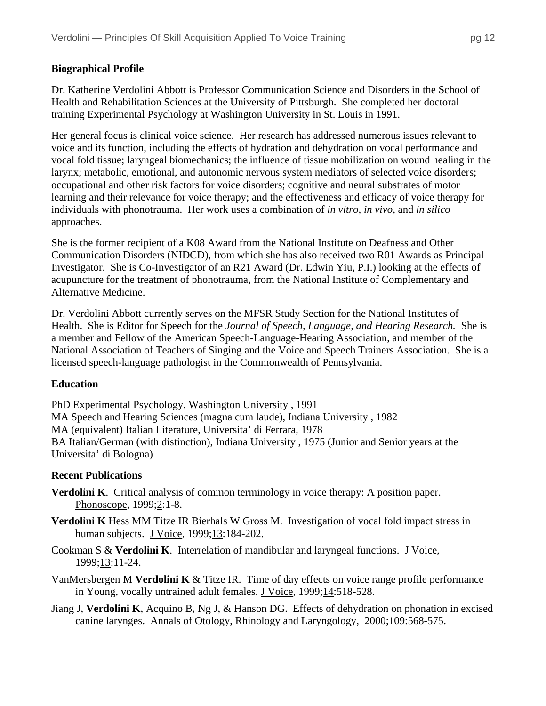# **Biographical Profile**

Dr. Katherine Verdolini Abbott is Professor Communication Science and Disorders in the School of Health and Rehabilitation Sciences at the University of Pittsburgh. She completed her doctoral training Experimental Psychology at Washington University in St. Louis in 1991.

Her general focus is clinical voice science. Her research has addressed numerous issues relevant to voice and its function, including the effects of hydration and dehydration on vocal performance and vocal fold tissue; laryngeal biomechanics; the influence of tissue mobilization on wound healing in the larynx; metabolic, emotional, and autonomic nervous system mediators of selected voice disorders; occupational and other risk factors for voice disorders; cognitive and neural substrates of motor learning and their relevance for voice therapy; and the effectiveness and efficacy of voice therapy for individuals with phonotrauma. Her work uses a combination of *in vitro, in vivo,* and *in silico* approaches.

She is the former recipient of a K08 Award from the National Institute on Deafness and Other Communication Disorders (NIDCD), from which she has also received two R01 Awards as Principal Investigator. She is Co-Investigator of an R21 Award (Dr. Edwin Yiu, P.I.) looking at the effects of acupuncture for the treatment of phonotrauma, from the National Institute of Complementary and Alternative Medicine.

Dr. Verdolini Abbott currently serves on the MFSR Study Section for the National Institutes of Health. She is Editor for Speech for the *Journal of Speech, Language, and Hearing Research.* She is a member and Fellow of the American Speech-Language-Hearing Association, and member of the National Association of Teachers of Singing and the Voice and Speech Trainers Association. She is a licensed speech-language pathologist in the Commonwealth of Pennsylvania.

# **Education**

PhD Experimental Psychology, Washington University , 1991 MA Speech and Hearing Sciences (magna cum laude), Indiana University , 1982 MA (equivalent) Italian Literature, Universita' di Ferrara, 1978 BA Italian/German (with distinction), Indiana University , 1975 (Junior and Senior years at the Universita' di Bologna)

# **Recent Publications**

- **Verdolini K**. Critical analysis of common terminology in voice therapy: A position paper. Phonoscope, 1999;2:1-8.
- **Verdolini K** Hess MM Titze IR Bierhals W Gross M. Investigation of vocal fold impact stress in human subjects. J Voice, 1999;13:184-202.
- Cookman S & **Verdolini K**. Interrelation of mandibular and laryngeal functions. J Voice, 1999;13:11-24.
- VanMersbergen M **Verdolini K** & Titze IR. Time of day effects on voice range profile performance in Young, vocally untrained adult females. J Voice, 1999;14:518-528.
- Jiang J, **Verdolini K**, Acquino B, Ng J, & Hanson DG. Effects of dehydration on phonation in excised canine larynges. Annals of Otology, Rhinology and Laryngology, 2000;109:568-575.